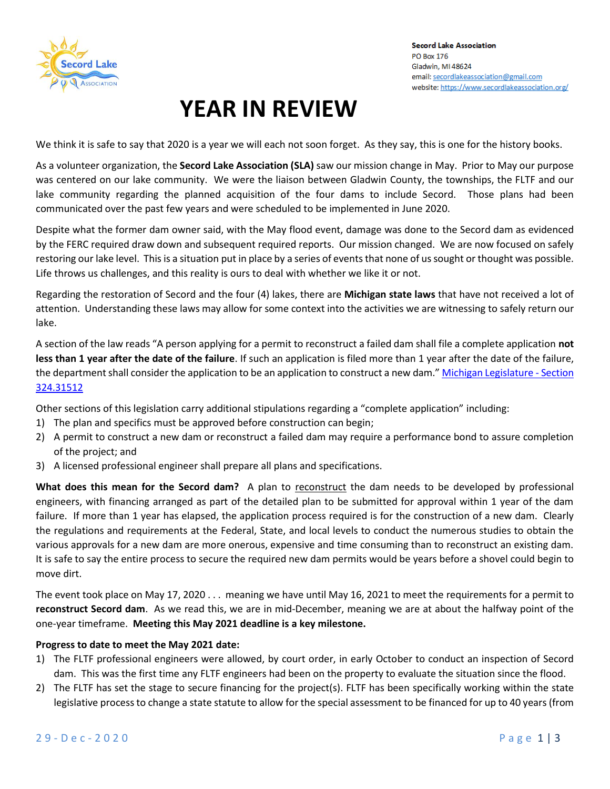

# **YEAR IN REVIEW**

We think it is safe to say that 2020 is a year we will each not soon forget. As they say, this is one for the history books.

As a volunteer organization, the **Secord Lake Association (SLA)** saw our mission change in May. Prior to May our purpose was centered on our lake community. We were the liaison between Gladwin County, the townships, the FLTF and our lake community regarding the planned acquisition of the four dams to include Secord. Those plans had been communicated over the past few years and were scheduled to be implemented in June 2020.

Despite what the former dam owner said, with the May flood event, damage was done to the Secord dam as evidenced by the FERC required draw down and subsequent required reports. Our mission changed. We are now focused on safely restoring our lake level. This is a situation put in place by a series of events that none of us sought or thought was possible. Life throws us challenges, and this reality is ours to deal with whether we like it or not.

Regarding the restoration of Secord and the four (4) lakes, there are **Michigan state laws** that have not received a lot of attention. Understanding these laws may allow for some context into the activities we are witnessing to safely return our lake.

A section of the law reads "A person applying for a permit to reconstruct a failed dam shall file a complete application **not less than 1 year after the date of the failure**. If such an application is filed more than 1 year after the date of the failure, the department shall consider the application to be an application to construct a new dam." [Michigan Legislature -](http://www.legislature.mi.gov/(S(dhgtfju3nc3ykhmvyom1p0kq))/mileg.aspx?page=getObject&objectName=mcl-324-31512) Section [324.31512](http://www.legislature.mi.gov/(S(dhgtfju3nc3ykhmvyom1p0kq))/mileg.aspx?page=getObject&objectName=mcl-324-31512)

Other sections of this legislation carry additional stipulations regarding a "complete application" including:

- 1) The plan and specifics must be approved before construction can begin;
- 2) A permit to construct a new dam or reconstruct a failed dam may require a performance bond to assure completion of the project; and
- 3) A licensed professional engineer shall prepare all plans and specifications.

What does this mean for the Secord dam? A plan to reconstruct the dam needs to be developed by professional engineers, with financing arranged as part of the detailed plan to be submitted for approval within 1 year of the dam failure. If more than 1 year has elapsed, the application process required is for the construction of a new dam. Clearly the regulations and requirements at the Federal, State, and local levels to conduct the numerous studies to obtain the various approvals for a new dam are more onerous, expensive and time consuming than to reconstruct an existing dam. It is safe to say the entire process to secure the required new dam permits would be years before a shovel could begin to move dirt.

The event took place on May 17, 2020 . . . meaning we have until May 16, 2021 to meet the requirements for a permit to **reconstruct Secord dam**. As we read this, we are in mid-December, meaning we are at about the halfway point of the one-year timeframe. **Meeting this May 2021 deadline is a key milestone.**

### **Progress to date to meet the May 2021 date:**

- 1) The FLTF professional engineers were allowed, by court order, in early October to conduct an inspection of Secord dam. This was the first time any FLTF engineers had been on the property to evaluate the situation since the flood.
- 2) The FLTF has set the stage to secure financing for the project(s). FLTF has been specifically working within the state legislative process to change a state statute to allow for the special assessment to be financed for up to 40 years (from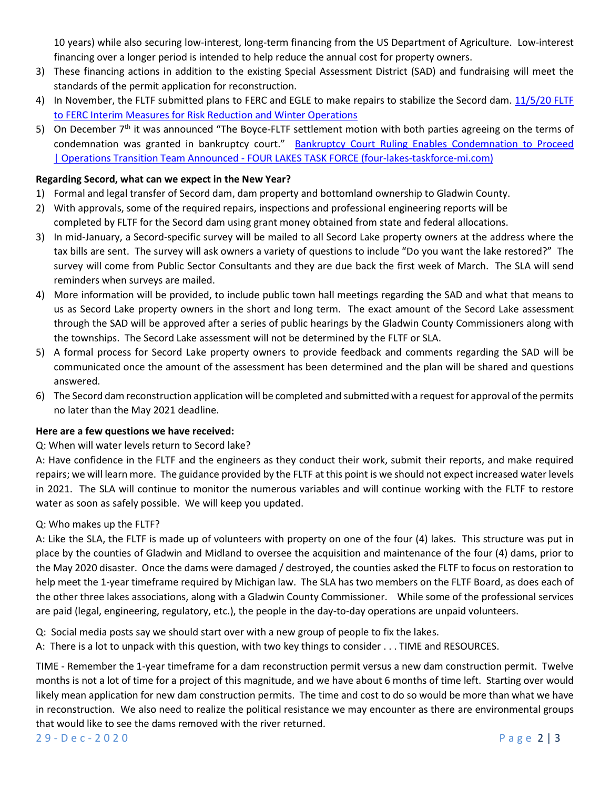10 years) while also securing low-interest, long-term financing from the US Department of Agriculture. Low-interest financing over a longer period is intended to help reduce the annual cost for property owners.

- 3) These financing actions in addition to the existing Special Assessment District (SAD) and fundraising will meet the standards of the permit application for reconstruction.
- 4) In November, the FLTF submitted plans to FERC and EGLE to make repairs to stabilize the Secord dam. [11/5/20 FLTF](https://bf8c71b5-cc5c-461e-9075-870c26c74fdb.filesusr.com/ugd/cd86dd_5019ce0817e040589f61504ed71e6fac.pdf)  [to FERC Interim Measures for Risk Reduction and Winter Operations](https://bf8c71b5-cc5c-461e-9075-870c26c74fdb.filesusr.com/ugd/cd86dd_5019ce0817e040589f61504ed71e6fac.pdf)
- 5) On December 7<sup>th</sup> it was announced "The Boyce-FLTF settlement motion with both parties agreeing on the terms of condemnation was granted in bankruptcy court." [Bankruptcy Court Ruling Enables Condemnation to Proceed](https://www.four-lakes-taskforce-mi.com/updates/bankruptcy-court-ruling-enables-condemnation-to-proceed-operations-transition-team-announced?utm_source=newsletter&utm_medium=email&utm_campaign=condemnation_proceeds_operations_team_ready_to_go&utm_term=2020-12-07)  | Operations Transition Team Announced - [FOUR LAKES TASK FORCE \(four-lakes-taskforce-mi.com\)](https://www.four-lakes-taskforce-mi.com/updates/bankruptcy-court-ruling-enables-condemnation-to-proceed-operations-transition-team-announced?utm_source=newsletter&utm_medium=email&utm_campaign=condemnation_proceeds_operations_team_ready_to_go&utm_term=2020-12-07)

#### **Regarding Secord, what can we expect in the New Year?**

- 1) Formal and legal transfer of Secord dam, dam property and bottomland ownership to Gladwin County.
- 2) With approvals, some of the required repairs, inspections and professional engineering reports will be completed by FLTF for the Secord dam using grant money obtained from state and federal allocations.
- 3) In mid-January, a Secord-specific survey will be mailed to all Secord Lake property owners at the address where the tax bills are sent. The survey will ask owners a variety of questions to include "Do you want the lake restored?" The survey will come from Public Sector Consultants and they are due back the first week of March. The SLA will send reminders when surveys are mailed.
- 4) More information will be provided, to include public town hall meetings regarding the SAD and what that means to us as Secord Lake property owners in the short and long term. The exact amount of the Secord Lake assessment through the SAD will be approved after a series of public hearings by the Gladwin County Commissioners along with the townships. The Secord Lake assessment will not be determined by the FLTF or SLA.
- 5) A formal process for Secord Lake property owners to provide feedback and comments regarding the SAD will be communicated once the amount of the assessment has been determined and the plan will be shared and questions answered.
- 6) The Secord dam reconstruction application will be completed and submitted with a request for approval of the permits no later than the May 2021 deadline.

### **Here are a few questions we have received:**

Q: When will water levels return to Secord lake?

A: Have confidence in the FLTF and the engineers as they conduct their work, submit their reports, and make required repairs; we will learn more. The guidance provided by the FLTF at this point is we should not expect increased water levels in 2021. The SLA will continue to monitor the numerous variables and will continue working with the FLTF to restore water as soon as safely possible. We will keep you updated.

### Q: Who makes up the FLTF?

A: Like the SLA, the FLTF is made up of volunteers with property on one of the four (4) lakes. This structure was put in place by the counties of Gladwin and Midland to oversee the acquisition and maintenance of the four (4) dams, prior to the May 2020 disaster. Once the dams were damaged / destroyed, the counties asked the FLTF to focus on restoration to help meet the 1-year timeframe required by Michigan law. The SLA has two members on the FLTF Board, as does each of the other three lakes associations, along with a Gladwin County Commissioner. While some of the professional services are paid (legal, engineering, regulatory, etc.), the people in the day-to-day operations are unpaid volunteers.

Q: Social media posts say we should start over with a new group of people to fix the lakes.

A: There is a lot to unpack with this question, with two key things to consider . . . TIME and RESOURCES.

TIME - Remember the 1-year timeframe for a dam reconstruction permit versus a new dam construction permit. Twelve months is not a lot of time for a project of this magnitude, and we have about 6 months of time left. Starting over would likely mean application for new dam construction permits. The time and cost to do so would be more than what we have in reconstruction. We also need to realize the political resistance we may encounter as there are environmental groups that would like to see the dams removed with the river returned.